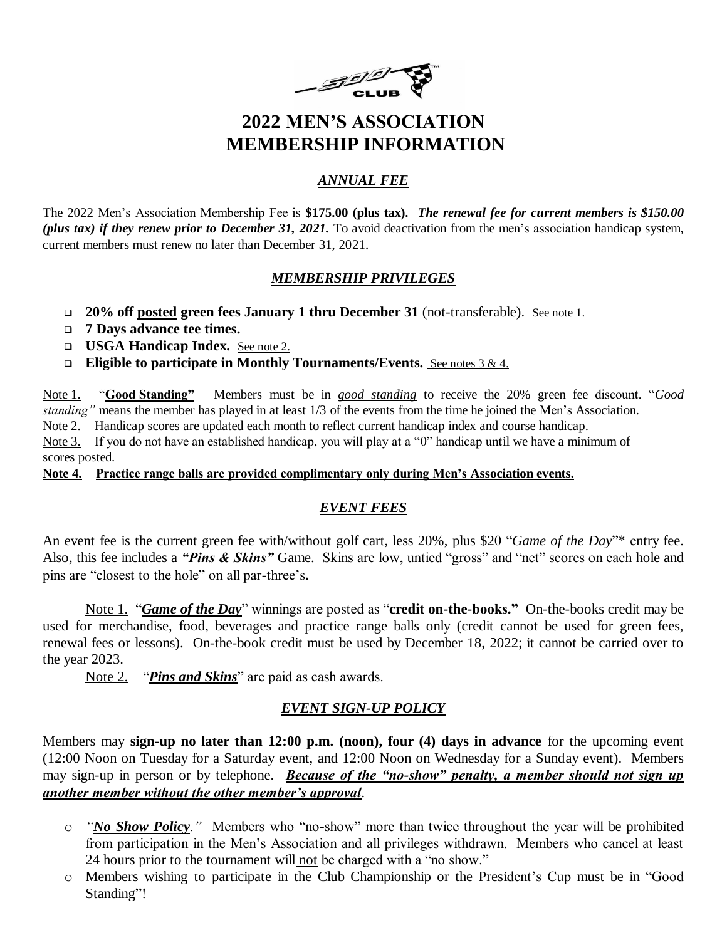

## **2022 MEN'S ASSOCIATION MEMBERSHIP INFORMATION**

### *ANNUAL FEE*

The 2022 Men's Association Membership Fee is **\$175.00 (plus tax).** *The renewal fee for current members is \$150.00 (plus tax) if they renew prior to December 31, 2021.* To avoid deactivation from the men's association handicap system, current members must renew no later than December 31, 2021.

### *MEMBERSHIP PRIVILEGES*

- **20% off posted green fees January 1 thru December 31** (not-transferable). See note 1.
- **7 Days advance tee times.**
- **USGA Handicap Index.** See note 2.
- **Eligible to participate in Monthly Tournaments/Events.** See notes 3 & 4.

Note 1. "**Good Standing"** Members must be in *good standing* to receive the 20% green fee discount. "*Good standing"* means the member has played in at least 1/3 of the events from the time he joined the Men's Association. Note 2. Handicap scores are updated each month to reflect current handicap index and course handicap.

Note 3. If you do not have an established handicap, you will play at a "0" handicap until we have a minimum of scores posted.

**Note 4. Practice range balls are provided complimentary only during Men's Association events.**

### *EVENT FEES*

An event fee is the current green fee with/without golf cart, less 20%, plus \$20 "*Game of the Day*"\* entry fee. Also, this fee includes a *"Pins & Skins"* Game. Skins are low, untied "gross" and "net" scores on each hole and pins are "closest to the hole" on all par-three's**.**

Note 1. "*Game of the Day*" winnings are posted as "**credit on-the-books."** On-the-books credit may be used for merchandise, food, beverages and practice range balls only (credit cannot be used for green fees, renewal fees or lessons). On-the-book credit must be used by December 18, 2022; it cannot be carried over to the year 2023.

Note 2. "*Pins and Skins*" are paid as cash awards.

### *EVENT SIGN-UP POLICY*

Members may **sign-up no later than 12:00 p.m. (noon), four (4) days in advance** for the upcoming event (12:00 Noon on Tuesday for a Saturday event, and 12:00 Noon on Wednesday for a Sunday event). Members may sign-up in person or by telephone. *Because of the "no-show" penalty, a member should not sign up another member without the other member's approval.*

- o *"No Show Policy."* Members who "no-show" more than twice throughout the year will be prohibited from participation in the Men's Association and all privileges withdrawn. Members who cancel at least 24 hours prior to the tournament will not be charged with a "no show."
- o Members wishing to participate in the Club Championship or the President's Cup must be in "Good Standing"!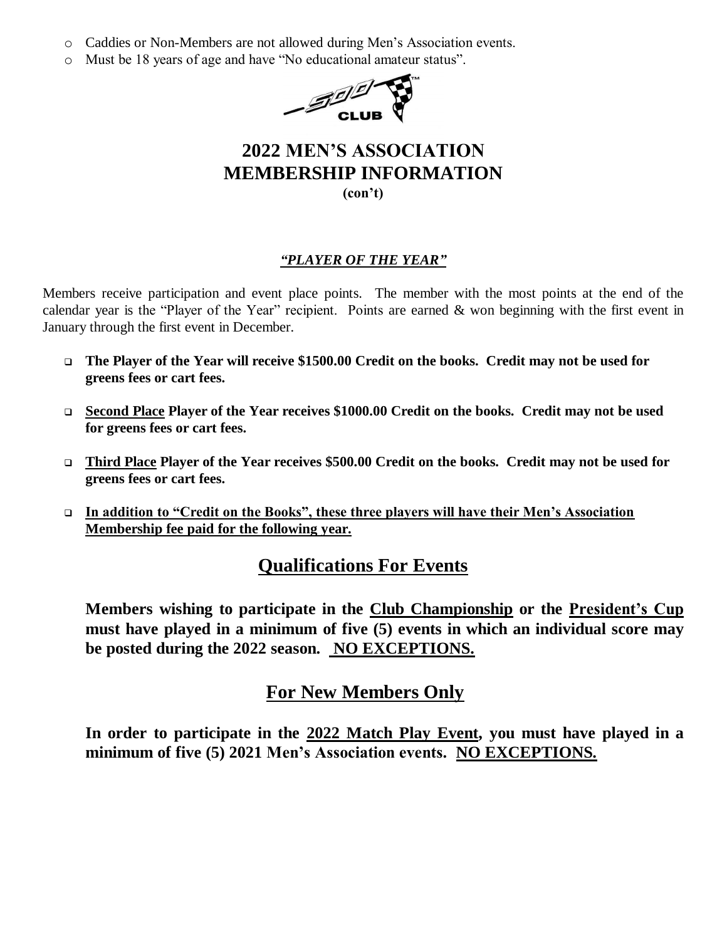- o Caddies or Non-Members are not allowed during Men's Association events.
- o Must be 18 years of age and have "No educational amateur status".



### **2022 MEN'S ASSOCIATION MEMBERSHIP INFORMATION (con't)**

### *"PLAYER OF THE YEAR"*

Members receive participation and event place points. The member with the most points at the end of the calendar year is the "Player of the Year" recipient. Points are earned & won beginning with the first event in January through the first event in December.

- **The Player of the Year will receive \$1500.00 Credit on the books. Credit may not be used for greens fees or cart fees.**
- **Second Place Player of the Year receives \$1000.00 Credit on the books. Credit may not be used for greens fees or cart fees.**
- **Third Place Player of the Year receives \$500.00 Credit on the books. Credit may not be used for greens fees or cart fees.**
- **In addition to "Credit on the Books", these three players will have their Men's Association Membership fee paid for the following year.**

### **Qualifications For Events**

**Members wishing to participate in the Club Championship or the President's Cup must have played in a minimum of five (5) events in which an individual score may be posted during the 2022 season. NO EXCEPTIONS.**

### **For New Members Only**

**In order to participate in the 2022 Match Play Event, you must have played in a minimum of five (5) 2021 Men's Association events. NO EXCEPTIONS***.*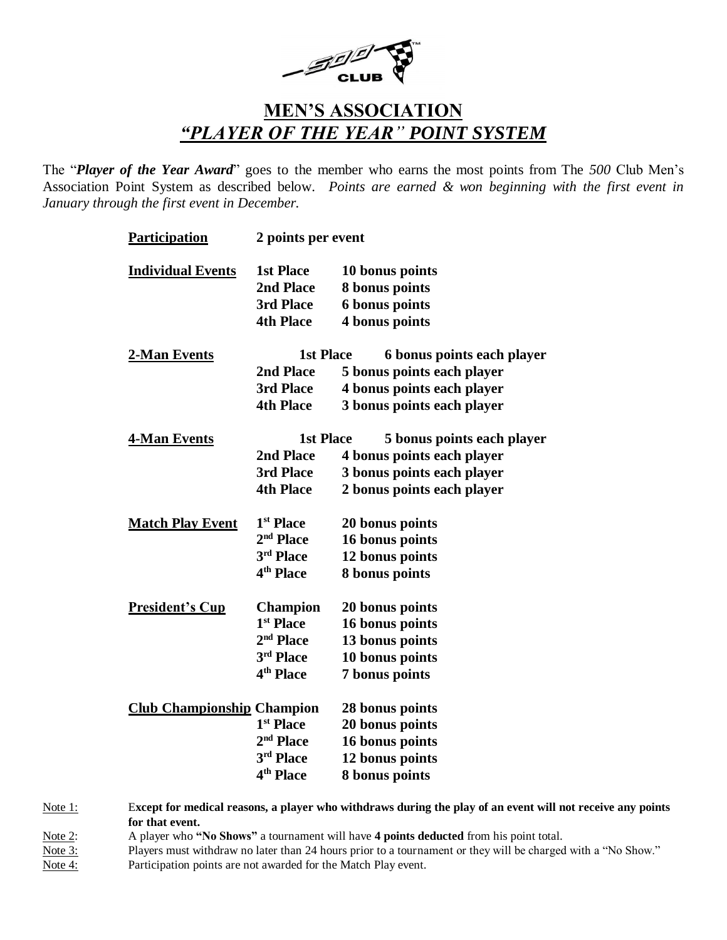

## **MEN'S ASSOCIATION** *"PLAYER OF THE YEAR" POINT SYSTEM*

The "*Player of the Year Award*" goes to the member who earns the most points from The *500* Club Men's Association Point System as described below. *Points are earned & won beginning with the first event in January through the first event in December.*

| <b>Participation</b>              | 2 points per event    |                            |  |
|-----------------------------------|-----------------------|----------------------------|--|
| <b>Individual Events</b>          | <b>1st Place</b>      | 10 bonus points            |  |
|                                   | 2nd Place             | 8 bonus points             |  |
|                                   | 3rd Place             | <b>6 bonus points</b>      |  |
|                                   | <b>4th Place</b>      | 4 bonus points             |  |
| 2-Man Events                      | <b>1st Place</b>      | 6 bonus points each player |  |
|                                   | 2nd Place             | 5 bonus points each player |  |
|                                   | 3rd Place             | 4 bonus points each player |  |
|                                   | <b>4th Place</b>      | 3 bonus points each player |  |
| <b>4-Man Events</b>               | <b>1st Place</b>      | 5 bonus points each player |  |
|                                   | 2nd Place             | 4 bonus points each player |  |
|                                   | 3rd Place             | 3 bonus points each player |  |
|                                   | <b>4th Place</b>      | 2 bonus points each player |  |
| <b>Match Play Event</b>           | 1 <sup>st</sup> Place | 20 bonus points            |  |
|                                   | 2 <sup>nd</sup> Place | 16 bonus points            |  |
|                                   | 3rd Place             | 12 bonus points            |  |
|                                   | 4 <sup>th</sup> Place | 8 bonus points             |  |
| <b>President's Cup</b>            | <b>Champion</b>       | 20 bonus points            |  |
|                                   | 1 <sup>st</sup> Place | 16 bonus points            |  |
|                                   | 2 <sup>nd</sup> Place | 13 bonus points            |  |
|                                   | 3rd Place             | 10 bonus points            |  |
|                                   | 4 <sup>th</sup> Place | 7 bonus points             |  |
| <b>Club Championship Champion</b> |                       | 28 bonus points            |  |
|                                   | 1 <sup>st</sup> Place | 20 bonus points            |  |
|                                   | $2nd$ Place           | 16 bonus points            |  |
|                                   | 3rd Place             | 12 bonus points            |  |
|                                   | 4 <sup>th</sup> Place | 8 bonus points             |  |

Note 1: E**xcept for medical reasons, a player who withdraws during the play of an event will not receive any points for that event.** Note 2: A player who **"No Shows"** a tournament will have **4 points deducted** from his point total.

Note 3: Players must withdraw no later than 24 hours prior to a tournament or they will be charged with a "No Show."

Note 4: Participation points are not awarded for the Match Play event.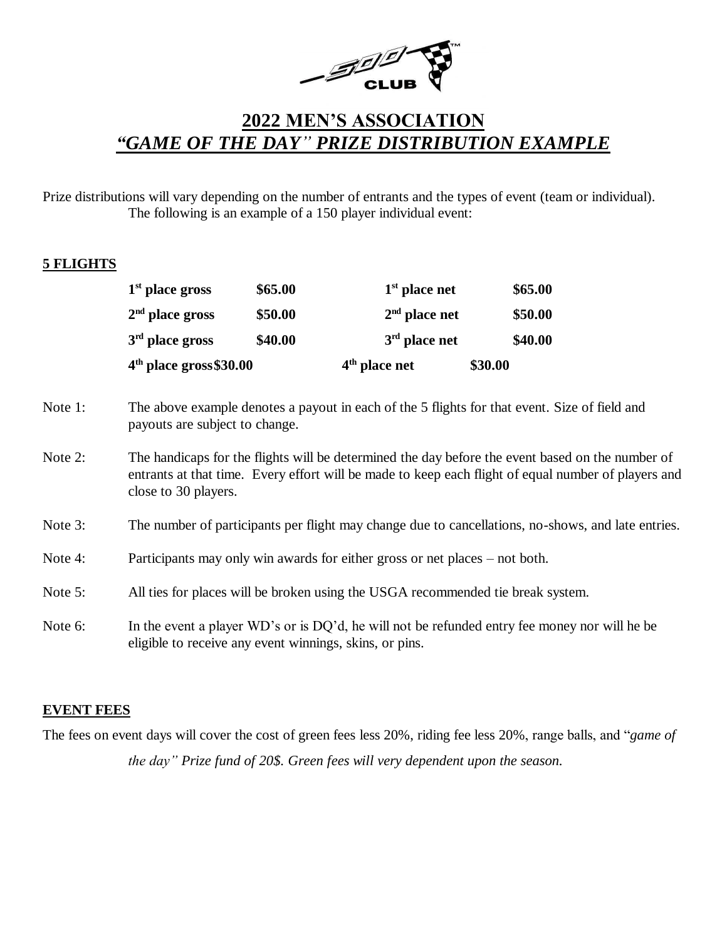

## **2022 MEN'S ASSOCIATION** *"GAME OF THE DAY" PRIZE DISTRIBUTION EXAMPLE*

Prize distributions will vary depending on the number of entrants and the types of event (team or individual). The following is an example of a 150 player individual event:

#### **5 FLIGHTS**

|                   | $4th$ place gross \$30.00 |                 | \$30.00 |  |
|-------------------|---------------------------|-----------------|---------|--|
| $3rd$ place gross | \$40.00                   | $3rd$ place net | \$40.00 |  |
| $2nd$ place gross | \$50.00                   | $2nd$ place net | \$50.00 |  |
| $1st$ place gross | \$65.00                   | $1st$ place net | \$65.00 |  |

- Note 1: The above example denotes a payout in each of the 5 flights for that event. Size of field and payouts are subject to change.
- Note 2: The handicaps for the flights will be determined the day before the event based on the number of entrants at that time. Every effort will be made to keep each flight of equal number of players and close to 30 players.
- Note 3: The number of participants per flight may change due to cancellations, no-shows, and late entries.
- Note 4: Participants may only win awards for either gross or net places not both.
- Note 5: All ties for places will be broken using the USGA recommended tie break system.
- Note 6: In the event a player WD's or is DQ'd, he will not be refunded entry fee money nor will he be eligible to receive any event winnings, skins, or pins.

#### **EVENT FEES**

The fees on event days will cover the cost of green fees less 20%, riding fee less 20%, range balls, and "*game of the day" Prize fund of 20\$. Green fees will very dependent upon the season.*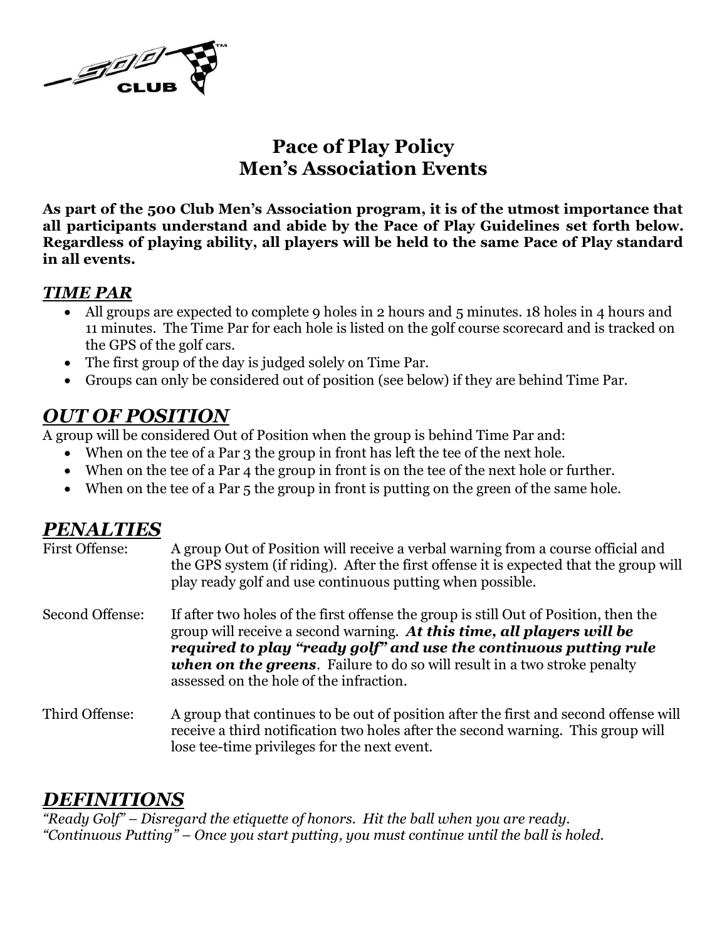

## **Pace of Play Policy Men's Association Events**

**As part of the 500 Club Men's Association program, it is of the utmost importance that all participants understand and abide by the Pace of Play Guidelines set forth below. Regardless of playing ability, all players will be held to the same Pace of Play standard in all events.**

### *TIME PAR*

- All groups are expected to complete 9 holes in 2 hours and 5 minutes. 18 holes in 4 hours and 11 minutes. The Time Par for each hole is listed on the golf course scorecard and is tracked on the GPS of the golf cars.
- The first group of the day is judged solely on Time Par.
- Groups can only be considered out of position (see below) if they are behind Time Par.

## *OUT OF POSITION*

A group will be considered Out of Position when the group is behind Time Par and:

- When on the tee of a Par 3 the group in front has left the tee of the next hole.
- When on the tee of a Par 4 the group in front is on the tee of the next hole or further.
- When on the tee of a Par 5 the group in front is putting on the green of the same hole.

## *PENALTIES*

| First Offense:  | A group Out of Position will receive a verbal warning from a course official and<br>the GPS system (if riding). After the first offense it is expected that the group will<br>play ready golf and use continuous putting when possible.                                                                                                                           |
|-----------------|-------------------------------------------------------------------------------------------------------------------------------------------------------------------------------------------------------------------------------------------------------------------------------------------------------------------------------------------------------------------|
| Second Offense: | If after two holes of the first offense the group is still Out of Position, then the<br>group will receive a second warning. At this time, all players will be<br>required to play "ready golf" and use the continuous putting rule<br><b>when on the greens.</b> Failure to do so will result in a two stroke penalty<br>assessed on the hole of the infraction. |
| Third Offense:  | A group that continues to be out of position after the first and second offense will<br>receive a third notification two holes after the second warning. This group will<br>lose tee-time privileges for the next event.                                                                                                                                          |

### *DEFINITIONS*

*"Ready Golf" – Disregard the etiquette of honors. Hit the ball when you are ready. "Continuous Putting" – Once you start putting, you must continue until the ball is holed.*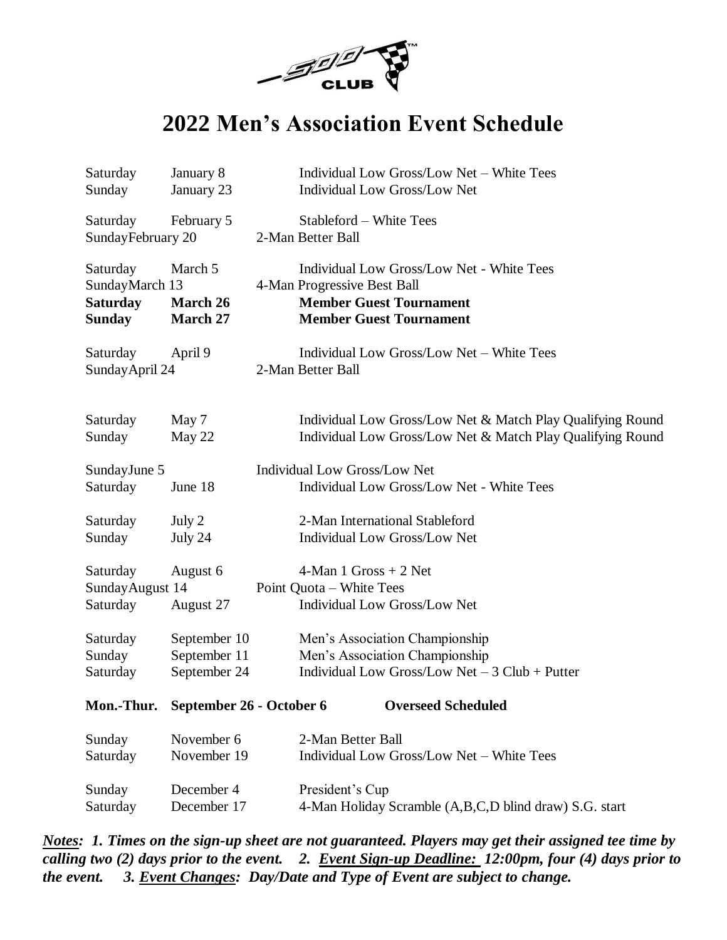

# **2022 Men's Association Event Schedule**

| Saturday                                                       | January 8                       | Individual Low Gross/Low Net - White Tees                                                                                                    |
|----------------------------------------------------------------|---------------------------------|----------------------------------------------------------------------------------------------------------------------------------------------|
| Sunday                                                         | January 23                      | Individual Low Gross/Low Net                                                                                                                 |
| Saturday<br>SundayFebruary 20                                  | February 5                      | Stableford – White Tees<br>2-Man Better Ball                                                                                                 |
| Saturday<br>SundayMarch 13<br><b>Saturday</b><br><b>Sunday</b> | March 5<br>March 26<br>March 27 | Individual Low Gross/Low Net - White Tees<br>4-Man Progressive Best Ball<br><b>Member Guest Tournament</b><br><b>Member Guest Tournament</b> |
| Saturday<br>Sunday April 24                                    | April 9                         | Individual Low Gross/Low Net - White Tees<br>2-Man Better Ball                                                                               |
| Saturday                                                       | May 7                           | Individual Low Gross/Low Net & Match Play Qualifying Round                                                                                   |
| Sunday                                                         | May 22                          | Individual Low Gross/Low Net & Match Play Qualifying Round                                                                                   |
| SundayJune 5<br>Saturday                                       | June 18                         | <b>Individual Low Gross/Low Net</b><br>Individual Low Gross/Low Net - White Tees                                                             |
| Saturday                                                       | July 2                          | 2-Man International Stableford                                                                                                               |
| Sunday                                                         | July 24                         | <b>Individual Low Gross/Low Net</b>                                                                                                          |
| Saturday<br>Sunday August 14<br>Saturday                       | August 6<br>August 27           | 4-Man 1 Gross $+ 2$ Net<br>Point Quota - White Tees<br>Individual Low Gross/Low Net                                                          |
| Saturday                                                       | September 10                    | Men's Association Championship                                                                                                               |
| Sunday                                                         | September 11                    | Men's Association Championship                                                                                                               |
| Saturday                                                       | September 24                    | Individual Low Gross/Low Net $-3$ Club + Putter                                                                                              |
| Mon.-Thur.                                                     | September 26 - October 6        | <b>Overseed Scheduled</b>                                                                                                                    |
| Sunday                                                         | November 6                      | 2-Man Better Ball                                                                                                                            |
| Saturday                                                       | November 19                     | Individual Low Gross/Low Net - White Tees                                                                                                    |
| Sunday                                                         | December 4                      | President's Cup                                                                                                                              |
| Saturday                                                       | December 17                     | 4-Man Holiday Scramble (A,B,C,D blind draw) S.G. start                                                                                       |

*Notes: 1. Times on the sign-up sheet are not guaranteed. Players may get their assigned tee time by calling two (2) days prior to the event. 2. Event Sign-up Deadline: 12:00pm, four (4) days prior to the event. 3. Event Changes: Day/Date and Type of Event are subject to change.*